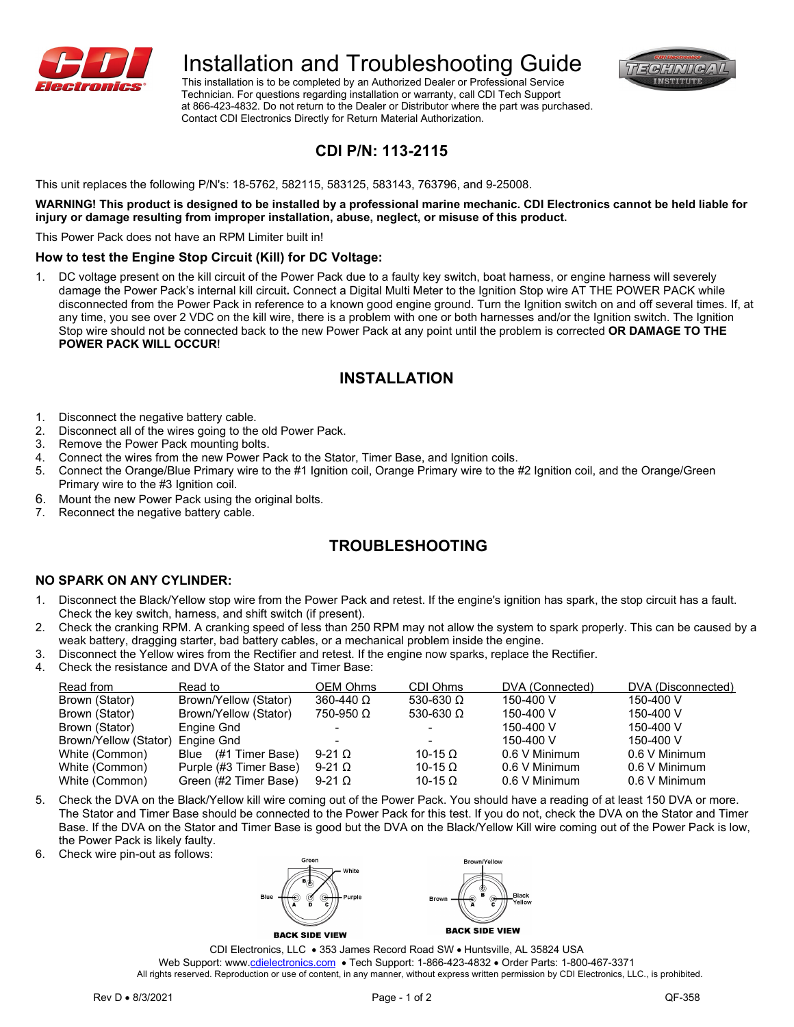

# Installation and Troubleshooting Guide

 This installation is to be completed by an Authorized Dealer or Professional Service Technician. For questions regarding installation or warranty, call CDI Tech Support at 866-423-4832. Do not return to the Dealer or Distributor where the part was purchased. Contact CDI Electronics Directly for Return Material Authorization.



## **CDI P/N: 113-2115**

This unit replaces the following P/N's: 18-5762, 582115, 583125, 583143, 763796, and 9-25008.

**WARNING! This product is designed to be installed by a professional marine mechanic. CDI Electronics cannot be held liable for injury or damage resulting from improper installation, abuse, neglect, or misuse of this product.**

This Power Pack does not have an RPM Limiter built in!

#### **How to test the Engine Stop Circuit (Kill) for DC Voltage:**

1. DC voltage present on the kill circuit of the Power Pack due to a faulty key switch, boat harness, or engine harness will severely damage the Power Pack's internal kill circuit**.** Connect a Digital Multi Meter to the Ignition Stop wire AT THE POWER PACK while disconnected from the Power Pack in reference to a known good engine ground. Turn the Ignition switch on and off several times. If, at any time, you see over 2 VDC on the kill wire, there is a problem with one or both harnesses and/or the Ignition switch. The Ignition Stop wire should not be connected back to the new Power Pack at any point until the problem is corrected **OR DAMAGE TO THE POWER PACK WILL OCCUR**!

### **INSTALLATION**

- 1. Disconnect the negative battery cable.
- 2. Disconnect all of the wires going to the old Power Pack.
- 3. Remove the Power Pack mounting bolts.
- 4. Connect the wires from the new Power Pack to the Stator, Timer Base, and Ignition coils.<br>5. Connect the Orange/Blue Primary wire to the #1 Ignition coil, Orange Primary wire to the
- 5. Connect the Orange/Blue Primary wire to the #1 Ignition coil, Orange Primary wire to the #2 Ignition coil, and the Orange/Green Primary wire to the #3 Ignition coil.
- 6. Mount the new Power Pack using the original bolts.
- 7. Reconnect the negative battery cable.

### **TROUBLESHOOTING**

#### **NO SPARK ON ANY CYLINDER:**

- 1. Disconnect the Black/Yellow stop wire from the Power Pack and retest. If the engine's ignition has spark, the stop circuit has a fault. Check the key switch, harness, and shift switch (if present).
- 2. Check the cranking RPM. A cranking speed of less than 250 RPM may not allow the system to spark properly. This can be caused by a weak battery, dragging starter, bad battery cables, or a mechanical problem inside the engine.
- 3. Disconnect the Yellow wires from the Rectifier and retest. If the engine now sparks, replace the Rectifier.
- 4. Check the resistance and DVA of the Stator and Timer Base:

| Read from             | Read to                | <b>OEM Ohms</b>      | CDI Ohms         | DVA (Connected) | DVA (Disconnected) |
|-----------------------|------------------------|----------------------|------------------|-----------------|--------------------|
| Brown (Stator)        | Brown/Yellow (Stator)  | $360 - 440$ $\Omega$ | 530-630 $\Omega$ | 150-400 V       | 150-400 V          |
| Brown (Stator)        | Brown/Yellow (Stator)  | $750-950$ $\Omega$   | 530-630 $\Omega$ | 150-400 V       | 150-400 V          |
| Brown (Stator)        | Engine Gnd             |                      |                  | 150-400 V       | 150-400 V          |
| Brown/Yellow (Stator) | Engine Gnd             |                      |                  | 150-400 V       | 150-400 V          |
| White (Common)        | Blue (#1 Timer Base)   | 9-21 $\Omega$        | 10-15 $\Omega$   | 0.6 V Minimum   | 0.6 V Minimum      |
| White (Common)        | Purple (#3 Timer Base) | 9-21 $\Omega$        | 10-15 $\Omega$   | 0.6 V Minimum   | 0.6 V Minimum      |
| White (Common)        | Green (#2 Timer Base)  | 9-21 $\Omega$        | 10-15 $\Omega$   | 0.6 V Minimum   | 0.6 V Minimum      |
|                       |                        |                      |                  |                 |                    |

- 5. Check the DVA on the Black/Yellow kill wire coming out of the Power Pack. You should have a reading of at least 150 DVA or more. The Stator and Timer Base should be connected to the Power Pack for this test. If you do not, check the DVA on the Stator and Timer Base. If the DVA on the Stator and Timer Base is good but the DVA on the Black/Yellow Kill wire coming out of the Power Pack is low, the Power Pack is likely faulty.
- 6. Check wire pin-out as follows:



**BACK SIDE VIEW** 

**BACK SIDE VIEW** 

CDI Electronics, LLC • 353 James Record Road SW • Huntsville, AL 35824 USA Web Support: www[.cdielectronics.com](http://www.cdielectronics.com/) . Tech Support: 1-866-423-4832 . Order Parts: 1-800-467-3371 All rights reserved. Reproduction or use of content, in any manner, without express written permission by CDI Electronics, LLC., is prohibited.